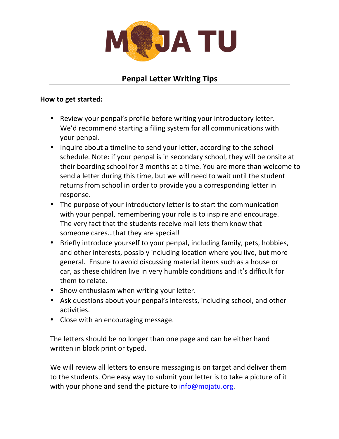

## **Penpal Letter Writing Tips**

## **How to get started:**

- Review your penpal's profile before writing your introductory letter. We'd recommend starting a filing system for all communications with your penpal.
- Inquire about a timeline to send your letter, according to the school schedule. Note: if your penpal is in secondary school, they will be onsite at their boarding school for 3 months at a time. You are more than welcome to send a letter during this time, but we will need to wait until the student returns from school in order to provide you a corresponding letter in response.
- The purpose of your introductory letter is to start the communication with your penpal, remembering your role is to inspire and encourage. The very fact that the students receive mail lets them know that someone cares...that they are special!
- Briefly introduce yourself to your penpal, including family, pets, hobbies, and other interests, possibly including location where you live, but more general. Ensure to avoid discussing material items such as a house or car, as these children live in very humble conditions and it's difficult for them to relate.
- Show enthusiasm when writing your letter.
- Ask questions about your penpal's interests, including school, and other activities.
- Close with an encouraging message.

The letters should be no longer than one page and can be either hand written in block print or typed.

We will review all letters to ensure messaging is on target and deliver them to the students. One easy way to submit your letter is to take a picture of it with your phone and send the picture to  $info@mojatu.org$ .